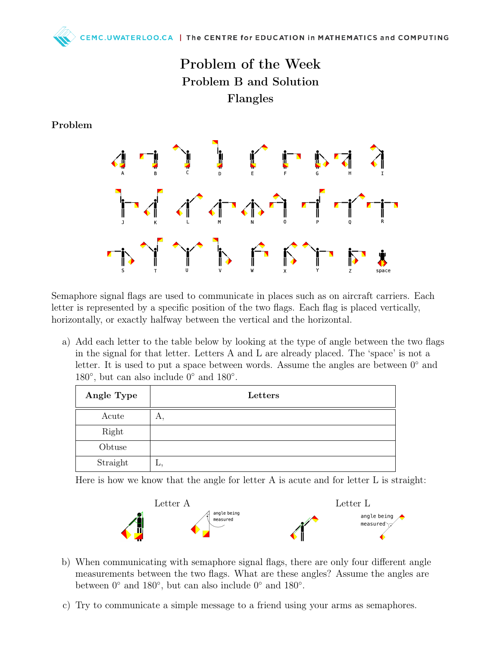## Problem of the Week Problem B and Solution Flangles

Problem



Semaphore signal flags are used to communicate in places such as on aircraft carriers. Each letter is represented by a specific position of the two flags. Each flag is placed vertically, horizontally, or exactly halfway between the vertical and the horizontal.

a) Add each letter to the table below by looking at the type of angle between the two flags in the signal for that letter. Letters A and L are already placed. The 'space' is not a letter. It is used to put a space between words. Assume the angles are between 0◦ and 180 $^{\circ}$ , but can also include 0 $^{\circ}$  and 180 $^{\circ}$ .

| Angle Type | Letters |
|------------|---------|
| Acute      | А,      |
| Right      |         |
| Obtuse     |         |
| Straight   | ш.      |

Here is how we know that the angle for letter A is acute and for letter L is straight:



- b) When communicating with semaphore signal flags, there are only four different angle measurements between the two flags. What are these angles? Assume the angles are between  $0^{\circ}$  and  $180^{\circ}$ , but can also include  $0^{\circ}$  and  $180^{\circ}$ .
- c) Try to communicate a simple message to a friend using your arms as semaphores.